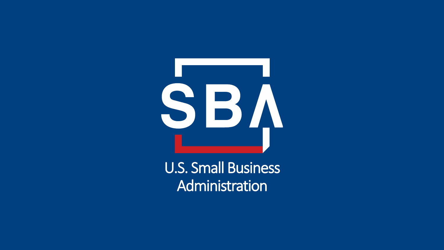

U.S. Small Business Administration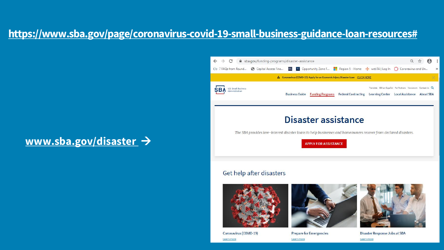### **[https://www.sba.gov/page/coronavirus-covid-19-small-business-guidance-loan-resources#](https://www.sba.gov/page/coronavirus-covid-19-small-business-guidance-loan-resources)**

### **[www.sba.gov/disaster](http://www.sba.gov/disaster)** →



#### Get help after disasters





Coronavirus (COVID-19) Learn more

Prepare for Emergencies Learn more



Disaster Response Jobs at SBA Learn more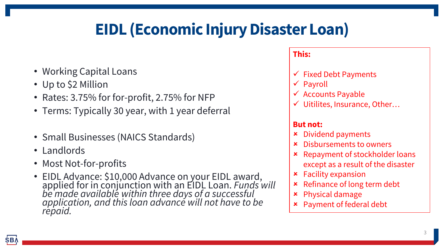# **EIDL (Economic Injury Disaster Loan)**

- Working Capital Loans
- Up to \$2 Million
- Rates: 3.75% for for-profit, 2.75% for NFP
- Terms: Typically 30 year, with 1 year deferral
- Small Businesses (NAICS Standards)
- Landlords
- Most Not-for-profits
- EIDL Advance: \$10,000 Advance on your EIDL award, applied for in conjunction with an EIDL Loan. *Funds will be made available within three days of a successful application, and this loan advance will not have to be repaid.*

#### **This:**

- $\checkmark$  Fixed Debt Payments
- ✓ Payroll
- $\checkmark$  Accounts Payable
- ✓ Uitilites, Insurance, Other…

#### **But not:**

- Dividend payments
- Disbursements to owners
- Repayment of stockholder loans except as a result of the disaster
- Facility expansion
- Refinance of long term debt
- Physical damage
- Payment of federal debt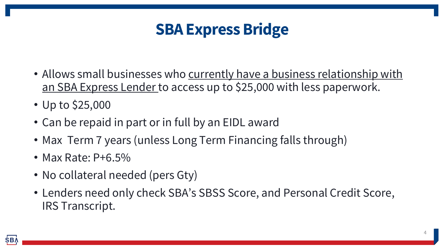## **SBA Express Bridge**

- Allows small businesses who currently have a business relationship with an SBA Express Lender to access up to \$25,000 with less paperwork.
- Up to \$25,000
- Can be repaid in part or in full by an EIDL award
- Max Term 7 years (unless Long Term Financing falls through)
- Max Rate: P+6.5%
- No collateral needed (pers Gty)
- Lenders need only check SBA's SBSS Score, and Personal Credit Score, IRS Transcript.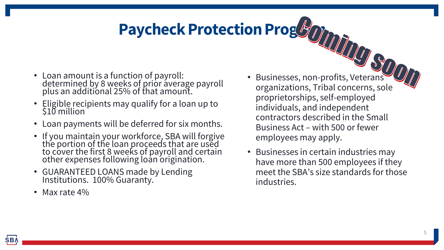# **Paycheck Protection Program**

- Loan amount is a function of payroll: determined by 8 weeks of prior average payroll plus an additional 25% of that amount.
- Eligible recipients may qualify for a loan up to  $$10$  million
- Loan payments will be deferred for six months.
- If you maintain your workforce, SBA will forgive the portion of the loan proceeds that are used to cover the first 8 weeks of payroll and certain other expenses following loan origination.
- GUARANTEED LOANS made by Lending Institutions. 100% Guaranty.
- Max rate 4%
- Businesses, non-profits, Veterans organizations, Tribal concerns, sole proprietorships, self-employed individuals, and independent contractors described in the Small Business Act – with 500 or fewer employees may apply.
- Businesses in certain industries may have more than 500 employees if they meet the SBA's size standards for those industries.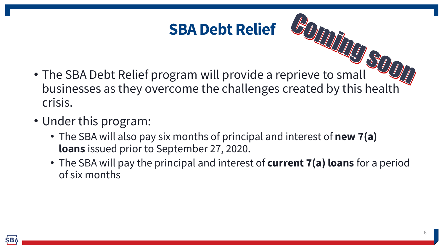# **SBA Debt Relief**

- The SBA Debt Relief program will provide a reprieve to small businesses as they overcome the challenges created by this health crisis.
- Under this program:
	- The SBA will also pay six months of principal and interest of **new 7(a) loans** issued prior to September 27, 2020.
	- The SBA will pay the principal and interest of **current 7(a) loans** for a period of six months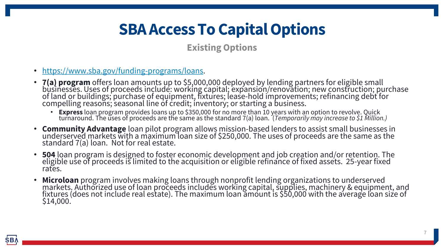## **SBA Access To Capital Options**

#### **Existing Options**

- <https://www.sba.gov/funding-programs/loans>.
- **7(a) program** offers loan amounts up to \$5,000,000 deployed by lending partners for eligible small businesses. Uses of proceeds include: working capital; expansion/renovation; new construction; purchase of land or buildings; purchase of equipment, fixtures; lease-hold improvements; refinancing debt for compelling reasons; seasonal line of credit; inventorý; or starting a business.
	- **Express** loan program provides loans up to \$350,000 for no more than 10 years with an option to revolve. Quick turnaround. The uses of proceeds are the same as the standard 7(a) loan. (*Temporarily may increase to \$1 Million.)*
- **Community Advantage** loan pilot program allows mission-based lenders to assist small businesses in underserved markets with a maximum loan size of \$250,000. The uses of proceeds are the same as the standard 7(a) loan. Not for real estate.
- **504** loan program is designed to foster economic development and job creation and/or retention. The eligible use of proceeds is limited to the acquisition or eligible refinance of fixed assets. 25-year fixed rates.
- **Microloan** program involves making loans through nonprofit lending organizations to underserved markets. Authorized use of loan proceeds includes working capital, supplies, machinery & equipment, and fixtures (does not include real estate). The maximum loan amount is \$50,000 with the average loan size of \$14,000.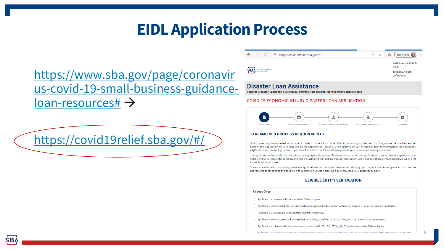## **EIDL Application Process**

### https://www.sba.gov/page/coronavir [us-covid-19-small-business-guidance](https://www.sba.gov/page/coronavirus-covid-19-small-business-guidance-loan-resources)loan-resources# →

<https://covid19relief.sba.gov/#/>

O A https://covid19relief.sba.gov/#/

Not syncing Q ☆ ⊀≡

0406

OMB Control #3247-

**Expiration Date:** 09/30/2020

8

**SBA** *U.S. Small Busines* 

#### Disaster Loan Assistance

Federal Disaster Loans for Businesses, Private Non-profits, Homeowners and Renters

#### **COVID-19 ECONOMIC INJURY DISASTER LOAN APPLICATION**



#### **STREAMLINED PROCESS REQUIREMENTS**

SBA is collecting the requested information in order to make a loan under SBA's Economic Injury Disaster Loan Program to the qualified entities listed in this application that are impacted by the Coronavirus (COVID-19). The information will be used in determining whether the applicant is eligible for an economic injury loan. If you do not submit all the information requested, your loan cannot be fully processed.

The Applicant understands that the SBA is relying upon the self-certifications contained in this application to verify that the Applicant is an eligible entity to receive the advance, and that the Applicant is providing this self-certification under penalty of perjury pursuant to 28 U.S.C. 1746 for verification purposes.

The estimated time for completing this entire application is two hours and ten minutes, although you may not need to complete all parts. You are not required to respond to this collection of information unless it displays a currently valid OMB approval number.

#### **ELIGIBLE ENTITY VERIFICATION**

#### **Choose One:**

Applicant is a business with not more than 500 employees.

Applicant is an individual who operates under a sole proprietorship, with or without employees, or as an independent contractor.

Applicant is a cooperative with not more than 500 employees.

Applicant is an Employee Stock Ownership Plan (ESOP), as defined in 15 U.S.C. 632, with not more than 500 employees.

Applicant is a tribal small business concern, as described in 15 U.S.C. 657a(b)(2)(C), with not more than 500 employees.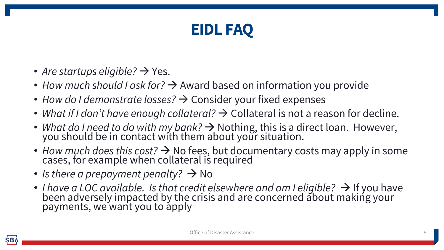## **EIDL FAQ**

- *Are startups eligible?*  $\rightarrow$  Yes.
- *How much should I ask for?* → Award based on information you provide
- *How do I demonstrate losses?* → Consider your fixed expenses
- What if I don't have enough collateral?  $\rightarrow$  Collateral is not a reason for decline.
- *What do I need to do with my bank?* → Nothing, this is a direct loan. However, you should be in contact with them about your situation.
- *How much does this cost?* → No fees, but documentary costs may apply in some cases, for example when collateral is required
- *Is there a prepayment penalty?* → No
- *I have a LOC available. Is that credit elsewhere and am I eligible?* → If you have been adversely impacted by the crisis and are concerned about making your payments, we want you to apply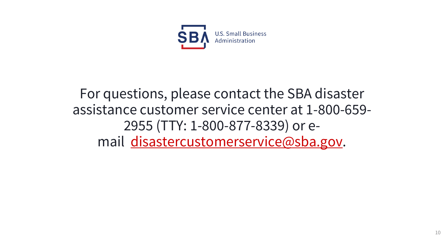

### For questions, please contact the SBA disaster assistance customer service center at 1-800-659- 2955 (TTY: 1-800-877-8339) or email [disastercustomerservice@sba.gov](mailto:disastercustomerservice@sba.gov).